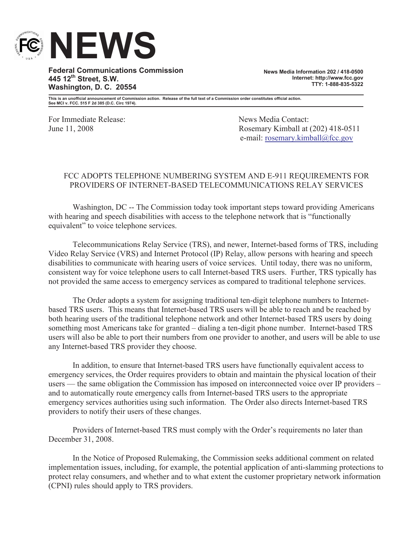

**Federal Communications Commission 445 12th Street, S.W. Washington, D. C. 20554**

**News Media Information 202 / 418-0500 Internet: http://www.fcc.gov TTY: 1-888-835-5322**

**This is an unofficial announcement of Commission action. Release of the full text of a Commission order constitutes official action. See MCI v. FCC. 515 F 2d 385 (D.C. Circ 1974).**

For Immediate Release: News Media Contact:

June 11, 2008 Rosemary Kimball at (202) 418-0511 e-mail: rosemary.kimball@fcc.gov

## FCC ADOPTS TELEPHONE NUMBERING SYSTEM AND E-911 REQUIREMENTS FOR PROVIDERS OF INTERNET-BASED TELECOMMUNICATIONS RELAY SERVICES

Washington, DC -- The Commission today took important steps toward providing Americans with hearing and speech disabilities with access to the telephone network that is "functionally" equivalent" to voice telephone services.

Telecommunications Relay Service (TRS), and newer, Internet-based forms of TRS, including Video Relay Service (VRS) and Internet Protocol (IP) Relay, allow persons with hearing and speech disabilities to communicate with hearing users of voice services. Until today, there was no uniform, consistent way for voice telephone users to call Internet-based TRS users. Further, TRS typically has not provided the same access to emergency services as compared to traditional telephone services.

The Order adopts a system for assigning traditional ten-digit telephone numbers to Internetbased TRS users. This means that Internet-based TRS users will be able to reach and be reached by both hearing users of the traditional telephone network and other Internet-based TRS users by doing something most Americans take for granted – dialing a ten-digit phone number. Internet-based TRS users will also be able to port their numbers from one provider to another, and users will be able to use any Internet-based TRS provider they choose.

In addition, to ensure that Internet-based TRS users have functionally equivalent access to emergency services, the Order requires providers to obtain and maintain the physical location of their users — the same obligation the Commission has imposed on interconnected voice over IP providers – and to automatically route emergency calls from Internet-based TRS users to the appropriate emergency services authorities using such information. The Order also directs Internet-based TRS providers to notify their users of these changes.

Providers of Internet-based TRS must comply with the Order's requirements no later than December 31, 2008.

In the Notice of Proposed Rulemaking, the Commission seeks additional comment on related implementation issues, including, for example, the potential application of anti-slamming protections to protect relay consumers, and whether and to what extent the customer proprietary network information (CPNI) rules should apply to TRS providers.